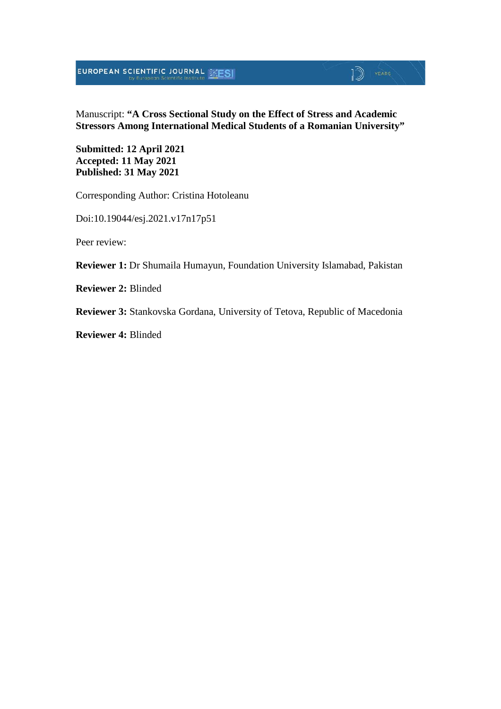# **EUROPEAN SCIENTIFIC JOURNAL SESI**

#### Manuscript: **"A Cross Sectional Study on the Effect of Stress and Academic Stressors Among International Medical Students of a Romanian University"**

 $\mathbb{D}$  YEARS

**Submitted: 12 April 2021 Accepted: 11 May 2021 Published: 31 May 2021**

Corresponding Author: Cristina Hotoleanu

Doi:10.19044/esj.2021.v17n17p51

Peer review:

**Reviewer 1:** Dr Shumaila Humayun, Foundation University Islamabad, Pakistan

**Reviewer 2:** Blinded

**Reviewer 3:** Stankovska Gordana, University of Tetova, Republic of Macedonia

**Reviewer 4:** Blinded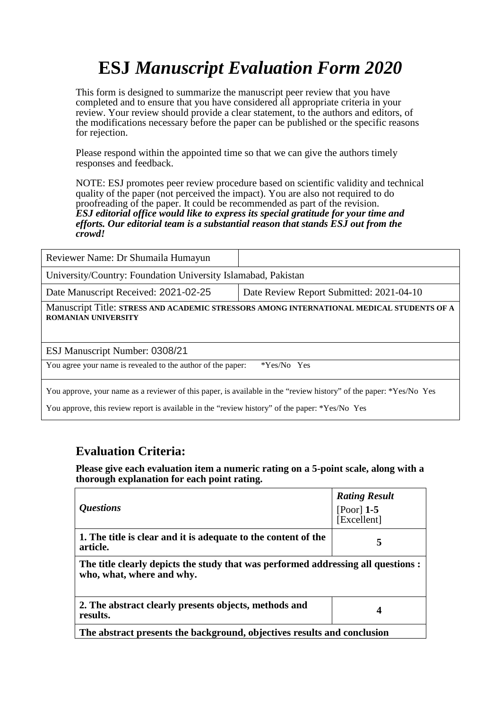This form is designed to summarize the manuscript peer review that you have completed and to ensure that you have considered all appropriate criteria in your review. Your review should provide a clear statement, to the authors and editors, of the modifications necessary before the paper can be published or the specific reasons for rejection.

Please respond within the appointed time so that we can give the authors timely responses and feedback.

NOTE: ESJ promotes peer review procedure based on scientific validity and technical quality of the paper (not perceived the impact). You are also not required to do proofreading of the paper. It could be recommended as part of the revision. *ESJ editorial office would like to express its special gratitude for your time and efforts. Our editorial team is a substantial reason that stands ESJ out from the crowd!* 

| Reviewer Name: Dr Shumaila Humayun                                                                                      |                                          |  |
|-------------------------------------------------------------------------------------------------------------------------|------------------------------------------|--|
| University/Country: Foundation University Islamabad, Pakistan                                                           |                                          |  |
| Date Manuscript Received: 2021-02-25                                                                                    | Date Review Report Submitted: 2021-04-10 |  |
| Manuscript Title: STRESS AND ACADEMIC STRESSORS AMONG INTERNATIONAL MEDICAL STUDENTS OF A<br><b>ROMANIAN UNIVERSITY</b> |                                          |  |
| ESJ Manuscript Number: 0308/21                                                                                          |                                          |  |
| You agree your name is revealed to the author of the paper:                                                             | *Yes/No Yes                              |  |
|                                                                                                                         |                                          |  |

You approve, your name as a reviewer of this paper, is available in the "review history" of the paper: \*Yes/No Yes

You approve, this review report is available in the "review history" of the paper: \*Yes/No Yes

#### **Evaluation Criteria:**

| <i><b>Questions</b></i>                                                                                        | <b>Rating Result</b><br>[Poor] $1-5$<br>[Excellent] |  |
|----------------------------------------------------------------------------------------------------------------|-----------------------------------------------------|--|
| 1. The title is clear and it is adequate to the content of the<br>article.                                     | 5                                                   |  |
| The title clearly depicts the study that was performed addressing all questions :<br>who, what, where and why. |                                                     |  |
| 2. The abstract clearly presents objects, methods and<br>results.                                              | 4                                                   |  |
| The abstract presents the background, objectives results and conclusion                                        |                                                     |  |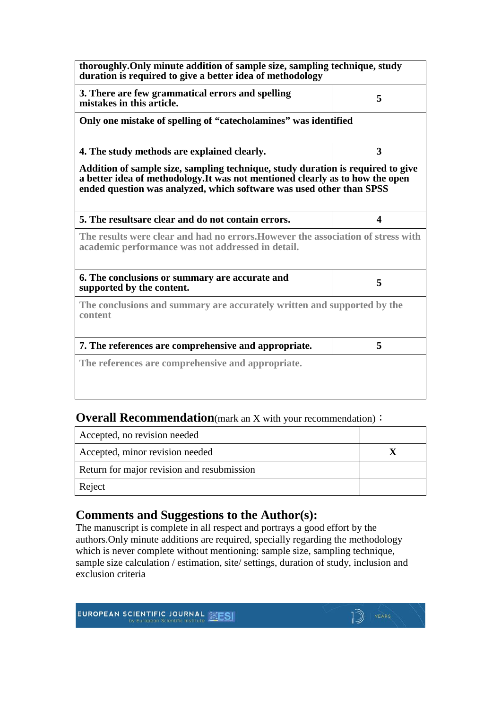| thoroughly. Only minute addition of sample size, sampling technique, study<br>duration is required to give a better idea of methodology                                                                                                  |   |  |
|------------------------------------------------------------------------------------------------------------------------------------------------------------------------------------------------------------------------------------------|---|--|
| 3. There are few grammatical errors and spelling<br>mistakes in this article.                                                                                                                                                            | 5 |  |
| Only one mistake of spelling of "catecholamines" was identified                                                                                                                                                                          |   |  |
| 4. The study methods are explained clearly.                                                                                                                                                                                              | 3 |  |
| Addition of sample size, sampling technique, study duration is required to give<br>a better idea of methodology. It was not mentioned clearly as to how the open<br>ended question was analyzed, which software was used other than SPSS |   |  |
| 5. The resultsare clear and do not contain errors.                                                                                                                                                                                       | 4 |  |
| The results were clear and had no errors. However the association of stress with<br>academic performance was not addressed in detail.                                                                                                    |   |  |
| 6. The conclusions or summary are accurate and<br>supported by the content.                                                                                                                                                              | 5 |  |
| The conclusions and summary are accurately written and supported by the<br>content                                                                                                                                                       |   |  |
| 7. The references are comprehensive and appropriate.                                                                                                                                                                                     | 5 |  |
| The references are comprehensive and appropriate.                                                                                                                                                                                        |   |  |

#### **Overall Recommendation**(mark an X with your recommendation):

| Accepted, no revision needed               |  |
|--------------------------------------------|--|
| Accepted, minor revision needed            |  |
| Return for major revision and resubmission |  |
| Reject                                     |  |

### **Comments and Suggestions to the Author(s):**

The manuscript is complete in all respect and portrays a good effort by the authors.Only minute additions are required, specially regarding the methodology which is never complete without mentioning: sample size, sampling technique, sample size calculation / estimation, site/ settings, duration of study, inclusion and exclusion criteria

 $\mathbb{D}$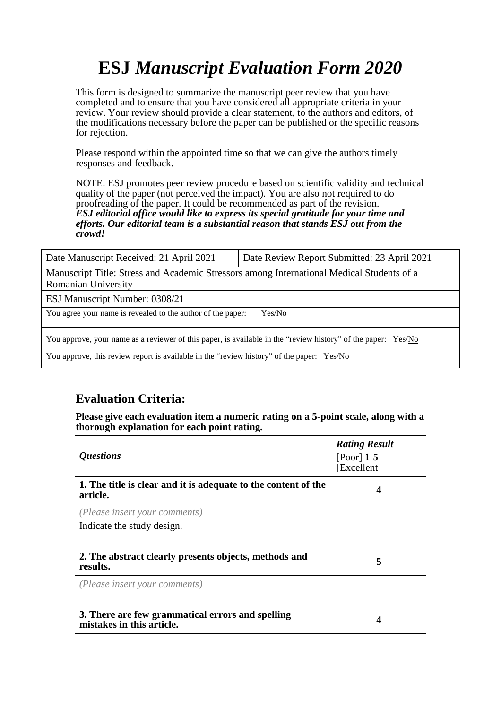This form is designed to summarize the manuscript peer review that you have completed and to ensure that you have considered all appropriate criteria in your review. Your review should provide a clear statement, to the authors and editors, of the modifications necessary before the paper can be published or the specific reasons for rejection.

Please respond within the appointed time so that we can give the authors timely responses and feedback.

NOTE: ESJ promotes peer review procedure based on scientific validity and technical quality of the paper (not perceived the impact). You are also not required to do proofreading of the paper. It could be recommended as part of the revision. *ESJ editorial office would like to express its special gratitude for your time and efforts. Our editorial team is a substantial reason that stands ESJ out from the crowd!* 

| Date Manuscript Received: 21 April 2021                                                                       | Date Review Report Submitted: 23 April 2021 |  |
|---------------------------------------------------------------------------------------------------------------|---------------------------------------------|--|
| Manuscript Title: Stress and Academic Stressors among International Medical Students of a                     |                                             |  |
| Romanian University                                                                                           |                                             |  |
| ESJ Manuscript Number: 0308/21                                                                                |                                             |  |
| You agree your name is revealed to the author of the paper:<br>Yes/No                                         |                                             |  |
| You approve, your name as a reviewer of this paper, is available in the "review history" of the paper: Yes/No |                                             |  |
| You approve, this review report is available in the "review history" of the paper: $Yes/No$                   |                                             |  |

## **Evaluation Criteria:**

| <i><b>Questions</b></i>                                                       | <b>Rating Result</b><br>[Poor] $1-5$<br>[Excellent] |
|-------------------------------------------------------------------------------|-----------------------------------------------------|
| 1. The title is clear and it is adequate to the content of the<br>article.    | 4                                                   |
| (Please insert your comments)<br>Indicate the study design.                   |                                                     |
| 2. The abstract clearly presents objects, methods and<br>results.             | 5                                                   |
| (Please insert your comments)                                                 |                                                     |
| 3. There are few grammatical errors and spelling<br>mistakes in this article. | 4                                                   |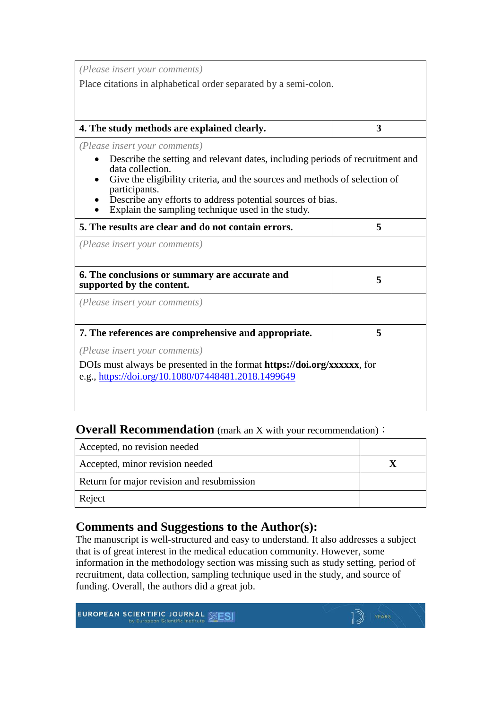*(Please insert your comments)*

Place citations in alphabetical order separated by a semi-colon.

#### **4. The study methods are explained clearly. 3**

*(Please insert your comments)*

- Describe the setting and relevant dates, including periods of recruitment and
- Give the eligibility criteria, and the sources and methods of selection of participants.
- Describe any efforts to address potential sources of bias.<br>• Explain the sampling technique used in the study.
- 

| 5. The results are clear and do not contain errors.                                                                                    | 5 |
|----------------------------------------------------------------------------------------------------------------------------------------|---|
| (Please insert your comments)                                                                                                          |   |
|                                                                                                                                        |   |
| 6. The conclusions or summary are accurate and<br>supported by the content.                                                            | 5 |
| (Please insert your comments)                                                                                                          |   |
|                                                                                                                                        |   |
| 7. The references are comprehensive and appropriate.                                                                                   | 5 |
| (Please insert your comments)                                                                                                          |   |
| DOIs must always be presented in the format <b>https://doi.org/xxxxxx</b> , for<br>e.g., https://doi.org/10.1080/07448481.2018.1499649 |   |
|                                                                                                                                        |   |

#### **Overall Recommendation** (mark an X with your recommendation):

| Accepted, no revision needed               |  |
|--------------------------------------------|--|
| Accepted, minor revision needed            |  |
| Return for major revision and resubmission |  |
| Reject                                     |  |

## **Comments and Suggestions to the Author(s):**

The manuscript is well-structured and easy to understand. It also addresses a subject that is of great interest in the medical education community. However, some information in the methodology section was missing such as study setting, period of recruitment, data collection, sampling technique used in the study, and source of funding. Overall, the authors did a great job.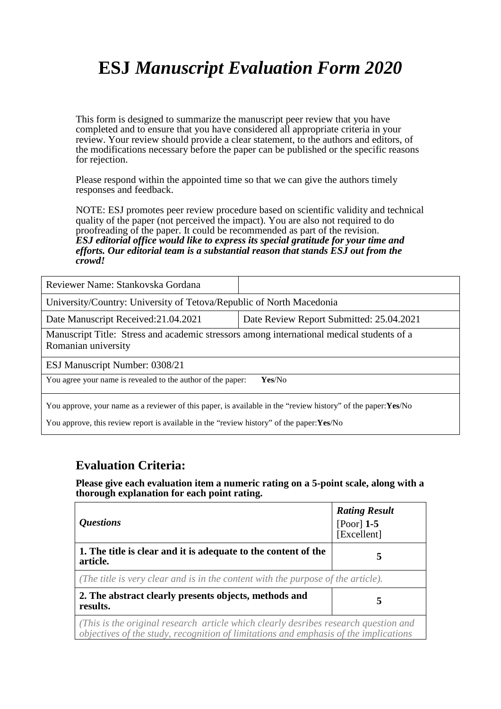This form is designed to summarize the manuscript peer review that you have completed and to ensure that you have considered all appropriate criteria in your review. Your review should provide a clear statement, to the authors and editors, of the modifications necessary before the paper can be published or the specific reasons for rejection.

Please respond within the appointed time so that we can give the authors timely responses and feedback.

NOTE: ESJ promotes peer review procedure based on scientific validity and technical quality of the paper (not perceived the impact). You are also not required to do proofreading of the paper. It could be recommended as part of the revision. *ESJ editorial office would like to express its special gratitude for your time and efforts. Our editorial team is a substantial reason that stands ESJ out from the crowd!* 

| Reviewer Name: Stankovska Gordana                                                                                |                                          |  |
|------------------------------------------------------------------------------------------------------------------|------------------------------------------|--|
| University/Country: University of Tetova/Republic of North Macedonia                                             |                                          |  |
| Date Manuscript Received: 21.04.2021                                                                             | Date Review Report Submitted: 25.04.2021 |  |
| Manuscript Title: Stress and academic stressors among international medical students of a<br>Romanian university |                                          |  |
| ESJ Manuscript Number: 0308/21                                                                                   |                                          |  |
| You agree your name is revealed to the author of the paper:<br>Yes/No                                            |                                          |  |
| You approve, your name as a reviewer of this paper, is available in the "review history" of the paper: Yes/No    |                                          |  |

You approve, this review report is available in the "review history" of the paper:**Yes**/No

### **Evaluation Criteria:**

| <i><b>Questions</b></i>                                                                                                                                                     | <b>Rating Result</b><br>[Poor] $1-5$<br>[Excellent] |
|-----------------------------------------------------------------------------------------------------------------------------------------------------------------------------|-----------------------------------------------------|
| 1. The title is clear and it is adequate to the content of the<br>article.                                                                                                  | 5                                                   |
| (The title is very clear and is in the content with the purpose of the article).                                                                                            |                                                     |
| 2. The abstract clearly presents objects, methods and<br>results.                                                                                                           | 5                                                   |
| (This is the original research article which clearly desribes research question and<br>objectives of the study, recognition of limitations and emphasis of the implications |                                                     |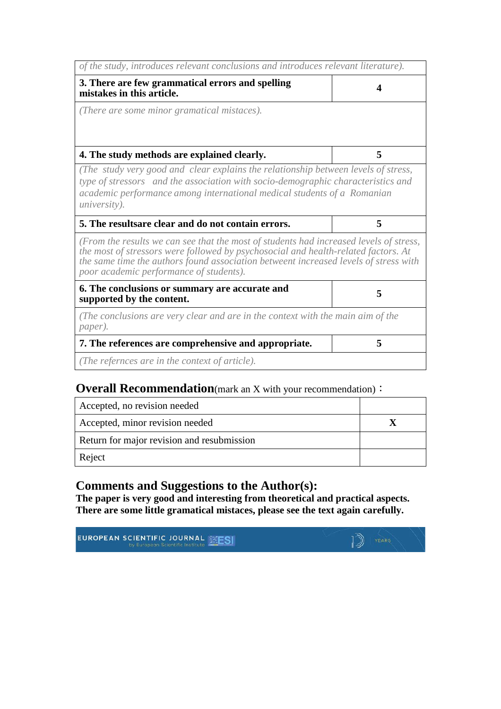| of the study, introduces relevant conclusions and introduces relevant literature).                                                                                                                                                                                                                              |   |
|-----------------------------------------------------------------------------------------------------------------------------------------------------------------------------------------------------------------------------------------------------------------------------------------------------------------|---|
| 3. There are few grammatical errors and spelling<br>mistakes in this article.                                                                                                                                                                                                                                   | 4 |
| (There are some minor gramatical mistaces).                                                                                                                                                                                                                                                                     |   |
| 4. The study methods are explained clearly.                                                                                                                                                                                                                                                                     | 5 |
| (The study very good and clear explains the relationship between levels of stress,<br>type of stressors and the association with socio-demographic characteristics and<br>academic performance among international medical students of a Romanian<br><i>university</i> ).                                       |   |
|                                                                                                                                                                                                                                                                                                                 |   |
| 5. The resultsare clear and do not contain errors.                                                                                                                                                                                                                                                              | 5 |
| (From the results we can see that the most of students had increased levels of stress,<br>the most of stressors were followed by psychosocial and health-related factors. At<br>the same time the authors found association betweent increased levels of stress with<br>poor academic performance of students). |   |
| 6. The conclusions or summary are accurate and<br>supported by the content.                                                                                                                                                                                                                                     | 5 |
| (The conclusions are very clear and are in the context with the main aim of the<br>paper).                                                                                                                                                                                                                      |   |
| 7. The references are comprehensive and appropriate.                                                                                                                                                                                                                                                            | 5 |

# **Overall Recommendation**(mark an X with your recommendation):

| Accepted, no revision needed               |  |
|--------------------------------------------|--|
| Accepted, minor revision needed            |  |
| Return for major revision and resubmission |  |
| Reject                                     |  |

## **Comments and Suggestions to the Author(s):**

**The paper is very good and interesting from theoretical and practical aspects. There are some little gramatical mistaces, please see the text again carefully.**

**EUROPEAN SCIENTIFIC JOURNAL WEST** 

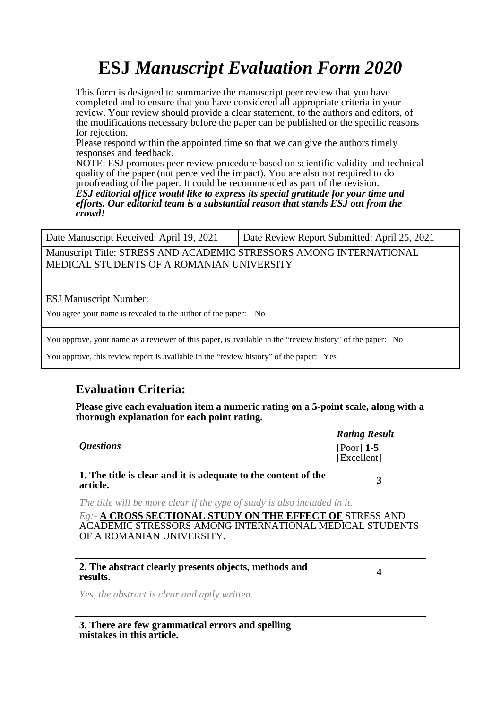This form is designed to summarize the manuscript peer review that you have completed and to ensure that you have considered all appropriate criteria in your review. Your review should provide a clear statement, to the authors and editors, of the modifications necessary before the paper can be published or the specific reasons for rejection.

Please respond within the appointed time so that we can give the authors timely responses and feedback.

NOTE: ESJ promotes peer review procedure based on scientific validity and technical quality of the paper (not perceived the impact). You are also not required to do proofreading of the paper. It could be recommended as part of the revision.

*ESJ editorial office would like to express its special gratitude for your time and efforts. Our editorial team is a substantial reason that stands ESJ out from the crowd!* 

Date Manuscript Received: April 19, 2021 | Date Review Report Submitted: April 25, 2021

Manuscript Title: STRESS AND ACADEMIC STRESSORS AMONG INTERNATIONAL MEDICAL STUDENTS OF A ROMANIAN UNIVERSITY

ESJ Manuscript Number:

You agree your name is revealed to the author of the paper: No

You approve, your name as a reviewer of this paper, is available in the "review history" of the paper: No

You approve, this review report is available in the "review history" of the paper: Yes

## **Evaluation Criteria:**

| <i><b>Questions</b></i>                                                                                                                                                                                                        | <b>Rating Result</b><br>$[Poor]$ 1-5<br>[Excellent] |
|--------------------------------------------------------------------------------------------------------------------------------------------------------------------------------------------------------------------------------|-----------------------------------------------------|
| 1. The title is clear and it is adequate to the content of the<br>article.                                                                                                                                                     | 3                                                   |
| The title will be more clear if the type of study is also included in it.<br>Eg. - A CROSS SECTIONAL STUDY ON THE EFFECT OF STRESS AND<br>ACADEMIC STRESSORS AMONG INTERNATIONAL MEDICAL STUDENTS<br>OF A ROMANIAN UNIVERSITY. |                                                     |
| 2. The abstract clearly presents objects, methods and<br>results.                                                                                                                                                              |                                                     |
| Yes, the abstract is clear and aptly written.                                                                                                                                                                                  |                                                     |
| 3. There are few grammatical errors and spelling<br>mistakes in this article.                                                                                                                                                  |                                                     |